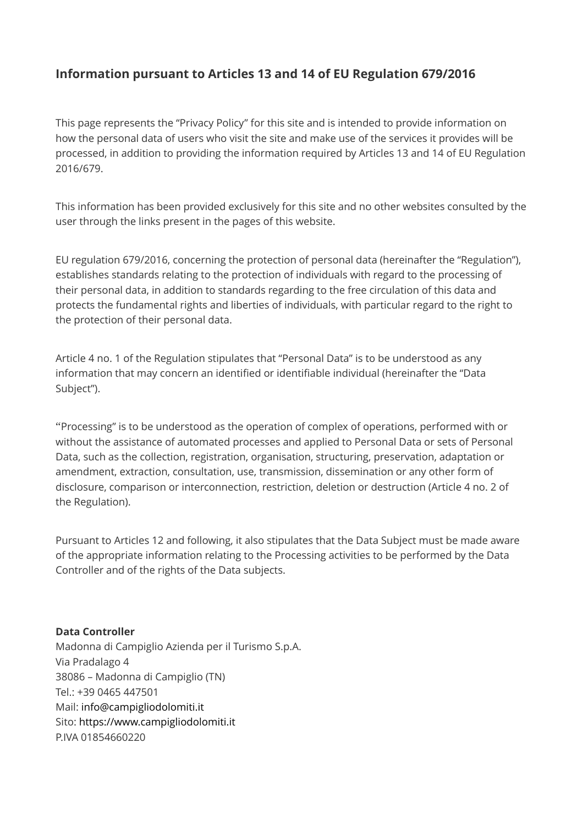# **Information pursuant to Articles 13 and 14 of EU Regulation 679/2016**

This page represents the "Privacy Policy" for this site and is intended to provide information on how the personal data of users who visit the site and make use of the services it provides will be processed, in addition to providing the information required by Articles 13 and 14 of EU Regulation 2016/679.

This information has been provided exclusively for this site and no other websites consulted by the user through the links present in the pages of this website.

EU regulation 679/2016, concerning the protection of personal data (hereinafter the "Regulation"), establishes standards relating to the protection of individuals with regard to the processing of their personal data, in addition to standards regarding to the free circulation of this data and protects the fundamental rights and liberties of individuals, with particular regard to the right to the protection of their personal data.

Article 4 no. 1 of the Regulation stipulates that "Personal Data" is to be understood as any information that may concern an identified or identifiable individual (hereinafter the "Data Subject").

"Processing" is to be understood as the operation of complex of operations, performed with or without the assistance of automated processes and applied to Personal Data or sets of Personal Data, such as the collection, registration, organisation, structuring, preservation, adaptation or amendment, extraction, consultation, use, transmission, dissemination or any other form of disclosure, comparison or interconnection, restriction, deletion or destruction (Article 4 no. 2 of the Regulation).

Pursuant to Articles 12 and following, it also stipulates that the Data Subject must be made aware of the appropriate information relating to the Processing activities to be performed by the Data Controller and of the rights of the Data subjects.

#### **Data Controller**

Madonna di Campiglio Azienda per il Turismo S.p.A. Via Pradalago 4 38086 – Madonna di Campiglio (TN) Tel.: +39 0465 447501 Mail: [info@campigliodolomiti.it](mailto:info@campigliodolomiti.it) Sito: [https://www.campigliodolomiti.it](https://www.campigliodolomiti.it/) P.IVA 01854660220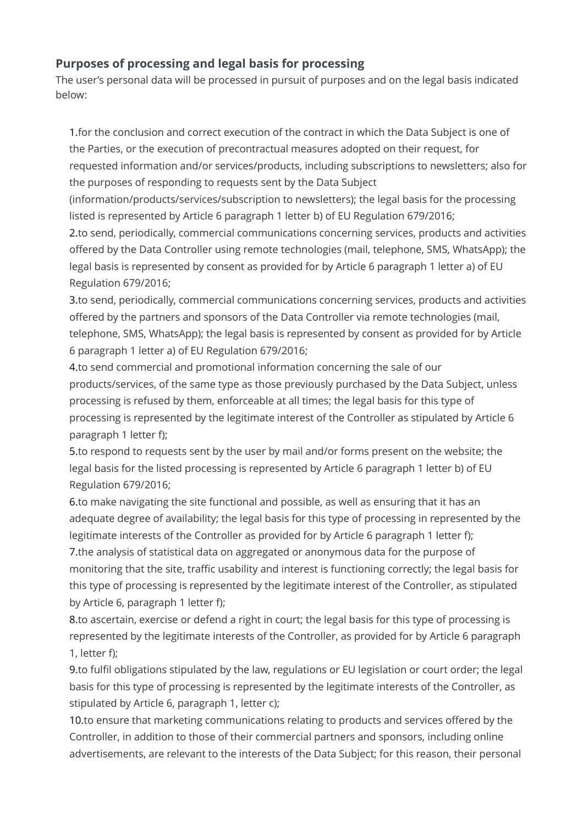# **Purposes of processing and legal basis for processing**

The user's personal data will be processed in pursuit of purposes and on the legal basis indicated below:

1.for the conclusion and correct execution of the contract in which the Data Subject is one of the Parties, or the execution of precontractual measures adopted on their request, for requested information and/or services/products, including subscriptions to newsletters; also for the purposes of responding to requests sent by the Data Subject

(information/products/services/subscription to newsletters); the legal basis for the processing listed is represented by Article 6 paragraph 1 letter b) of EU Regulation 679/2016;

2.to send, periodically, commercial communications concerning services, products and activities offered by the Data Controller using remote technologies (mail, telephone, SMS, WhatsApp); the legal basis is represented by consent as provided for by Article 6 paragraph 1 letter a) of EU Regulation 679/2016;

3.to send, periodically, commercial communications concerning services, products and activities offered by the partners and sponsors of the Data Controller via remote technologies (mail, telephone, SMS, WhatsApp); the legal basis is represented by consent as provided for by Article 6 paragraph 1 letter a) of EU Regulation 679/2016;

4.to send commercial and promotional information concerning the sale of our products/services, of the same type as those previously purchased by the Data Subject, unless processing is refused by them, enforceable at all times; the legal basis for this type of processing is represented by the legitimate interest of the Controller as stipulated by Article 6 paragraph 1 letter f);

5.to respond to requests sent by the user by mail and/or forms present on the website; the legal basis for the listed processing is represented by Article 6 paragraph 1 letter b) of EU Regulation 679/2016;

6.to make navigating the site functional and possible, as well as ensuring that it has an adequate degree of availability; the legal basis for this type of processing in represented by the legitimate interests of the Controller as provided for by Article 6 paragraph 1 letter f); 7.the analysis of statistical data on aggregated or anonymous data for the purpose of

monitoring that the site, traffic usability and interest is functioning correctly; the legal basis for this type of processing is represented by the legitimate interest of the Controller, as stipulated by Article 6, paragraph 1 letter f);

8.to ascertain, exercise or defend a right in court; the legal basis for this type of processing is represented by the legitimate interests of the Controller, as provided for by Article 6 paragraph 1, letter f);

9.to fulfil obligations stipulated by the law, regulations or EU legislation or court order; the legal basis for this type of processing is represented by the legitimate interests of the Controller, as stipulated by Article 6, paragraph 1, letter c);

10.to ensure that marketing communications relating to products and services offered by the Controller, in addition to those of their commercial partners and sponsors, including online advertisements, are relevant to the interests of the Data Subject; for this reason, their personal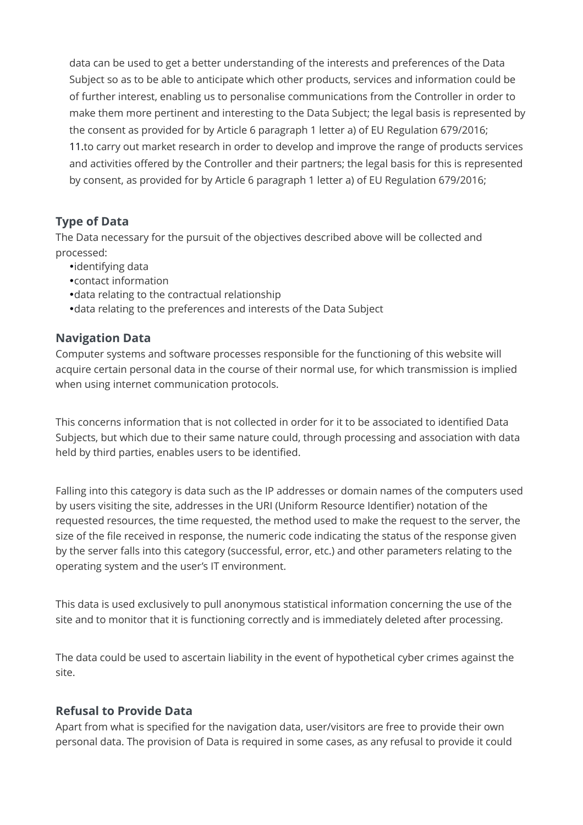data can be used to get a better understanding of the interests and preferences of the Data Subject so as to be able to anticipate which other products, services and information could be of further interest, enabling us to personalise communications from the Controller in order to make them more pertinent and interesting to the Data Subject; the legal basis is represented by the consent as provided for by Article 6 paragraph 1 letter a) of EU Regulation 679/2016; 11.to carry out market research in order to develop and improve the range of products services and activities offered by the Controller and their partners; the legal basis for this is represented by consent, as provided for by Article 6 paragraph 1 letter a) of EU Regulation 679/2016;

## **Type of Data**

The Data necessary for the pursuit of the objectives described above will be collected and processed:

- identifying data
- contact information
- data relating to the contractual relationship
- data relating to the preferences and interests of the Data Subject

## **Navigation Data**

Computer systems and software processes responsible for the functioning of this website will acquire certain personal data in the course of their normal use, for which transmission is implied when using internet communication protocols.

This concerns information that is not collected in order for it to be associated to identified Data Subjects, but which due to their same nature could, through processing and association with data held by third parties, enables users to be identified.

Falling into this category is data such as the IP addresses or domain names of the computers used by users visiting the site, addresses in the URI (Uniform Resource Identifier) notation of the requested resources, the time requested, the method used to make the request to the server, the size of the file received in response, the numeric code indicating the status of the response given by the server falls into this category (successful, error, etc.) and other parameters relating to the operating system and the user's IT environment.

This data is used exclusively to pull anonymous statistical information concerning the use of the site and to monitor that it is functioning correctly and is immediately deleted after processing.

The data could be used to ascertain liability in the event of hypothetical cyber crimes against the site.

## **Refusal to Provide Data**

Apart from what is specified for the navigation data, user/visitors are free to provide their own personal data. The provision of Data is required in some cases, as any refusal to provide it could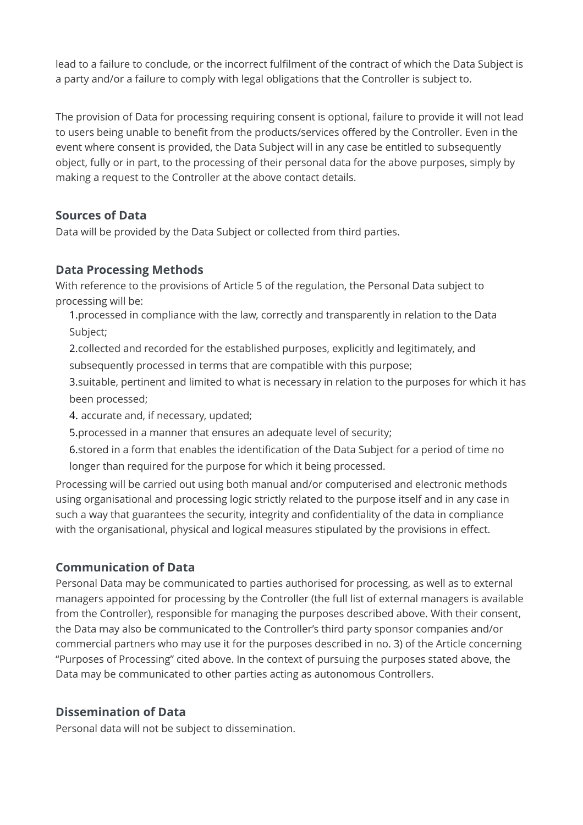lead to a failure to conclude, or the incorrect fulfilment of the contract of which the Data Subject is a party and/or a failure to comply with legal obligations that the Controller is subject to.

The provision of Data for processing requiring consent is optional, failure to provide it will not lead to users being unable to benefit from the products/services offered by the Controller. Even in the event where consent is provided, the Data Subject will in any case be entitled to subsequently object, fully or in part, to the processing of their personal data for the above purposes, simply by making a request to the Controller at the above contact details.

# **Sources of Data**

Data will be provided by the Data Subject or collected from third parties.

## **Data Processing Methods**

With reference to the provisions of Article 5 of the regulation, the Personal Data subject to processing will be:

1.processed in compliance with the law, correctly and transparently in relation to the Data Subject;

2.collected and recorded for the established purposes, explicitly and legitimately, and subsequently processed in terms that are compatible with this purpose;

3.suitable, pertinent and limited to what is necessary in relation to the purposes for which it has been processed;

4. accurate and, if necessary, updated;

5.processed in a manner that ensures an adequate level of security;

6.stored in a form that enables the identification of the Data Subject for a period of time no longer than required for the purpose for which it being processed.

Processing will be carried out using both manual and/or computerised and electronic methods using organisational and processing logic strictly related to the purpose itself and in any case in such a way that guarantees the security, integrity and confidentiality of the data in compliance with the organisational, physical and logical measures stipulated by the provisions in effect.

## **Communication of Data**

Personal Data may be communicated to parties authorised for processing, as well as to external managers appointed for processing by the Controller (the full list of external managers is available from the Controller), responsible for managing the purposes described above. With their consent, the Data may also be communicated to the Controller's third party sponsor companies and/or commercial partners who may use it for the purposes described in no. 3) of the Article concerning "Purposes of Processing" cited above. In the context of pursuing the purposes stated above, the Data may be communicated to other parties acting as autonomous Controllers.

# **Dissemination of Data**

Personal data will not be subject to dissemination.